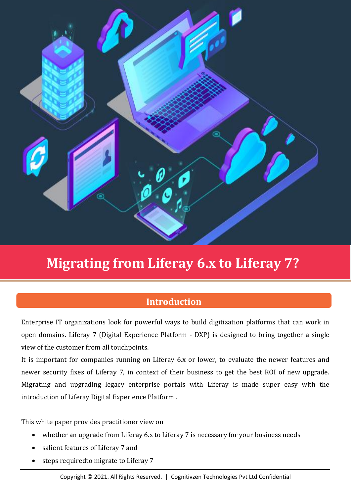

# **Migrating from Liferay 6.x to Liferay 7?**

## **Introduction**

Enterprise IT organizations look for powerful ways to build digitization platforms that can work in open domains. Liferay 7 (Digital Experience Platform - DXP) is designed to bring together a single view of the customer from all touchpoints.

It is important for companies running on Liferay 6.x or lower, to evaluate the newer features and newer security fixes of Liferay 7, in context of their business to get the best ROI of new upgrade. Migrating and upgrading legacy enterprise portals with Liferay is made super easy with the introduction of [Liferay Digital Experience Platform](https://www.knowarth.com/solutions/digital-experience-platform/) .

This white paper provides practitioner view on

- whether an upgrade from Liferay 6.x to Liferay 7 is necessary for your business needs
- salient features of Liferay 7 and
- steps requiredto migrate to Liferay 7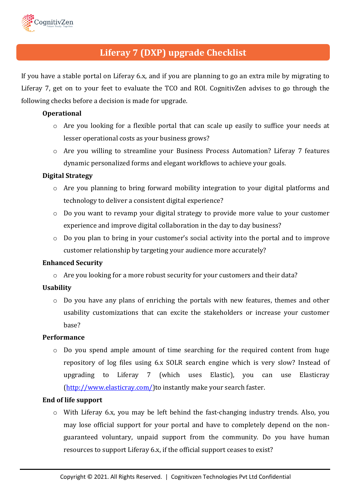

## **Liferay 7 (DXP) upgrade Checklist**

If you have a stable portal on Liferay 6.x, and if you are planning to go an extra mile by migrating to Liferay 7, get on to your feet to evaluate the TCO and ROI. CognitivZen advises to go through the following checks before a decision is made for upgrade.

### **Operational**

- o Are you looking for a flexible portal that can scale up easily to suffice your needs at lesser operational costs as your business grows?
- o Are you willing to streamline your Business Process Automation? Liferay 7 features dynamic personalized forms and elegant workflows to achieve your goals.

### **Digital Strategy**

- o Are you planning to bring forward mobility integration to your digital platforms and technology to deliver a consistent digital experience?
- o Do you want to revamp your digital strategy to provide more value to your customer experience and improve digital collaboration in the day to day business?
- o Do you plan to bring in your customer's social activity into the portal and to improve customer relationship by targeting your audience more accurately?

### **Enhanced Security**

o Are you looking for a more robust security for your customers and their data?

### **Usability**

o Do you have any plans of enriching the portals with new features, themes and other usability customizations that can excite the stakeholders or increase your customer base?

### **Performance**

o Do you spend ample amount of time searching for the required content from huge repository of log files using 6.x SOLR search engine which is very slow? Instead of upgrading to Liferay 7 (which uses Elastic), you can use Elasticray [\(http://www.elasticray.com/\)](http://www.elasticray.com/)to instantly make your search faster.

### **End of life support**

 $\circ$  With Liferay 6.x, you may be left behind the fast-changing industry trends. Also, you may lose official support for your portal and have to completely depend on the nonguaranteed voluntary, unpaid support from the community. Do you have human resources to support Liferay 6.x, if the official support ceases to exist?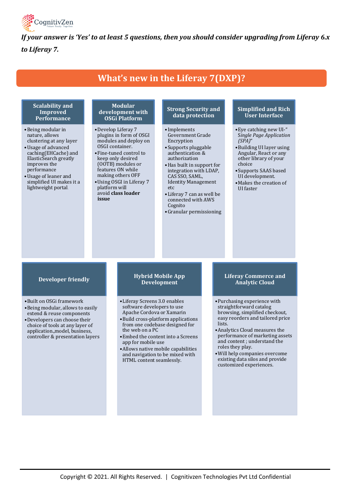

*If your answer is 'Yes' to at least 5 questions, then you should consider upgrading from Liferay 6.x to Liferay 7.*

## **What's new in the Liferay 7(DXP)?**

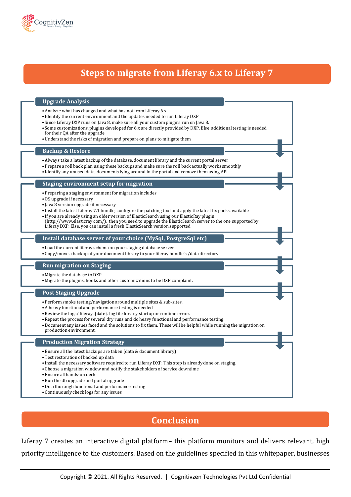

## **Steps to migrate from Liferay 6.x to Liferay 7**

### **Upgrade Analysis**

- •Analyze what has changed and what has not from Liferay 6.x
- Identify the current environment and the updates needed to run Liferay DXP
- Since Liferay DXP runs on Java 8, make sure all your custom plugins run on Java 8.
- Some customizations, plugins developed for 6.x are directly provided by DXP. Else, additional testing is needed for their QA after the upgrade
- •Understand the risks of migration and prepare on plans to mitigate them

#### **Backup & Restore**

- •Always take a latest backup of the database, document library and the current portal server
- •Prepare a roll back plan using these backups and make sure the roll back actually works smoothly
- Identify any unused data, documents lying around in the portal and remove them using API.

#### **Staging environment setup for migration**

- •Preparing a staging environment for migration includes
- •OS upgrade if necessary
- Java 8 version upgrade if necessary
- Install the latest Liferay 7.1 bundle, configure the patching tool and apply the latest fix packs available
- If you are already using an older version of ElasticSearch using our ElasticRay plugin
- (http://www.elasticray.com/), then you need to upgrade the ElasticSearch server to the one supported by Liferay DXP. Else, you can install a fresh ElasticSearch version supported

#### **Install database server of your choice (MySql, PostgreSql etc)**

- •Load the current liferay schema on your staging database server
- •Copy/move a backup of your document library to your liferay bundle's /data directory

#### **Run migration on Staging**

- •Migrate the database to DXP
- •Migrate the plugins, hooks and other customizations to be DXP complaint.

#### **Post Staging Upgrade**

- •Perform smoke testing/navigation around multiple sites & sub-sites.
- •A heavy functional and performance testing is needed
- •Review the logs/ liferay .{date}. log file for any startup or runtime errors
- •Repeat the process for several dry runs and do heavy functional and performance testing
- •Document any issues faced and the solutions to fix them. These will be helpful while running the migration on production environment.

#### **Production Migration Strategy**

- •Ensure all the latest backups are taken (data & document library)
- •Test restoration of backed up data
- Install the necessary software required to run Liferay DXP. This step is already done on staging.
- •Choose a migration window and notify the stakeholders of service downtime
- •Ensure all hands-on deck
- •Run the db upgrade and portal upgrade
- •Do a thorough functional and performance testing
- •Continuously check logs for any issues

## **Conclusion**

Liferay 7 creates an interactive digital platform– this platform monitors and delivers relevant, high priority intelligence to the customers. Based on the guidelines specified in this whitepaper, businesses